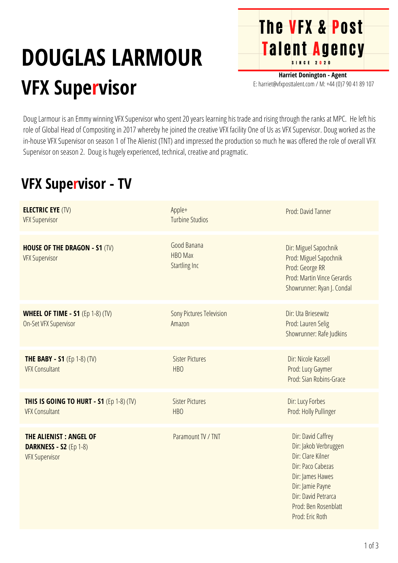## **DOUGLAS LARMOUR VFX Supervisor**

**Harriet Donington - Agent** E: harriet@vfxposttalent.com / M:+44(0)7904189107

**The VFX & Post** 

Talent Agency

Doug Larmour is an Emmy winning VFX Supervisor who spent 20 years learning his trade and rising through the ranks at MPC. He left his role of Global Head of Compositing in 2017 whereby he joined the creative VFX facility One of Us as VFX Supervisor. Doug worked as the in-house VFX Supervisor on season 1 of The Alienist (TNT) and impressed the production so much he was offered the role of overall VFX Supervisor on season 2. Doug is hugely experienced, technical, creative and pragmatic.

## **VFX Supervisor - TV**

| <b>ELECTRIC EYE (TV)</b><br><b>VFX Supervisor</b>                                       | Apple+<br><b>Turbine Studios</b>                      | Prod: David Tanner                                                                                                                                                                              |
|-----------------------------------------------------------------------------------------|-------------------------------------------------------|-------------------------------------------------------------------------------------------------------------------------------------------------------------------------------------------------|
| <b>HOUSE OF THE DRAGON - S1 (TV)</b><br><b>VFX Supervisor</b>                           | Good Banana<br><b>HBO Max</b><br><b>Startling Inc</b> | Dir: Miguel Sapochnik<br>Prod: Miguel Sapochnik<br>Prod: George RR<br>Prod: Martin Vince Gerardis<br>Showrunner: Ryan J. Condal                                                                 |
| <b>WHEEL OF TIME - S1</b> (Ep 1-8) (TV)<br>On-Set VFX Supervisor                        | <b>Sony Pictures Television</b><br>Amazon             | Dir: Uta Briesewitz<br>Prod: Lauren Selig<br>Showrunner: Rafe Judkins                                                                                                                           |
| <b>THE BABY - S1</b> (Ep 1-8) (TV)<br><b>VFX Consultant</b>                             | <b>Sister Pictures</b><br><b>HBO</b>                  | Dir: Nicole Kassell<br>Prod: Lucy Gaymer<br>Prod: Sian Robins-Grace                                                                                                                             |
| THIS IS GOING TO HURT - S1 (Ep 1-8) (TV)<br><b>VFX Consultant</b>                       | <b>Sister Pictures</b><br><b>HBO</b>                  | Dir: Lucy Forbes<br>Prod: Holly Pullinger                                                                                                                                                       |
| <b>THE ALIENIST: ANGEL OF</b><br><b>DARKNESS - S2 (Ep 1-8)</b><br><b>VFX Supervisor</b> | Paramount TV / TNT                                    | Dir: David Caffrey<br>Dir: Jakob Verbruggen<br>Dir: Clare Kilner<br>Dir: Paco Cabezas<br>Dir: James Hawes<br>Dir: Jamie Payne<br>Dir: David Petrarca<br>Prod: Ben Rosenblatt<br>Prod: Eric Roth |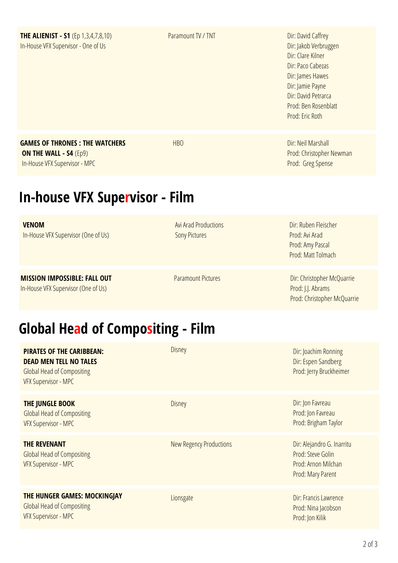| <b>THE ALIENIST - S1</b> (Ep 1,3,4,7,8,10)<br>In-House VFX Supervisor - One of Us                      | Paramount TV / TNT                                  | Dir: David Caffrey<br>Dir: Jakob Verbruggen<br>Dir: Clare Kilner<br>Dir: Paco Cabezas<br>Dir: James Hawes<br>Dir: Jamie Payne<br>Dir: David Petrarca<br>Prod: Ben Rosenblatt<br>Prod: Eric Roth |  |  |
|--------------------------------------------------------------------------------------------------------|-----------------------------------------------------|-------------------------------------------------------------------------------------------------------------------------------------------------------------------------------------------------|--|--|
| <b>GAMES OF THRONES: THE WATCHERS</b><br>ON THE WALL - S4 (Ep9)<br>In-House VFX Supervisor - MPC       | <b>HBO</b>                                          | Dir: Neil Marshall<br>Prod: Christopher Newman<br>Prod: Greg Spense                                                                                                                             |  |  |
| <b>In-house VFX Supervisor - Film</b>                                                                  |                                                     |                                                                                                                                                                                                 |  |  |
| <b>VENOM</b><br>In-House VFX Supervisor (One of Us)                                                    | <b>Avi Arad Productions</b><br><b>Sony Pictures</b> | Dir: Ruben Fleischer<br>Prod: Avi Arad<br>Prod: Amy Pascal<br>Prod: Matt Tolmach                                                                                                                |  |  |
| <b>MISSION IMPOSSIBLE: FALL OUT</b><br>In-House VFX Supervisor (One of Us)                             | <b>Paramount Pictures</b>                           | Dir: Christopher McQuarrie<br>Prod: J.J. Abrams<br>Prod: Christopher McQuarrie                                                                                                                  |  |  |
| <b>Global Head of Compositing - Film</b>                                                               |                                                     |                                                                                                                                                                                                 |  |  |
| <b>PIRATES OF THE CARIBBEAN:</b><br><b>DEAD MEN TELL NO TALES</b><br><b>Global Head of Compositing</b> | <b>Disney</b>                                       | Dir: Joachim Ronning<br>Dir: Espen Sandberg<br>Prod: Jerry Bruckheimer                                                                                                                          |  |  |

| VFX Supervisor - MPC                                                                             |                         |                                                                                             |
|--------------------------------------------------------------------------------------------------|-------------------------|---------------------------------------------------------------------------------------------|
| THE JUNGLE BOOK<br><b>Global Head of Compositing</b><br><b>VFX Supervisor - MPC</b>              | <b>Disney</b>           | Dir: Jon Favreau<br>Prod: Jon Favreau<br>Prod: Brigham Taylor                               |
| <b>THE REVENANT</b><br><b>Global Head of Compositing</b><br><b>VFX Supervisor - MPC</b>          | New Regency Productions | Dir: Alejandro G. Inarritu<br>Prod: Steve Golin<br>Prod: Arnon Milchan<br>Prod: Mary Parent |
| THE HUNGER GAMES: MOCKINGJAY<br><b>Global Head of Compositing</b><br><b>VFX Supervisor - MPC</b> | Lionsgate               | Dir: Francis Lawrence<br>Prod: Nina Jacobson<br>Prod: Jon Kilik                             |